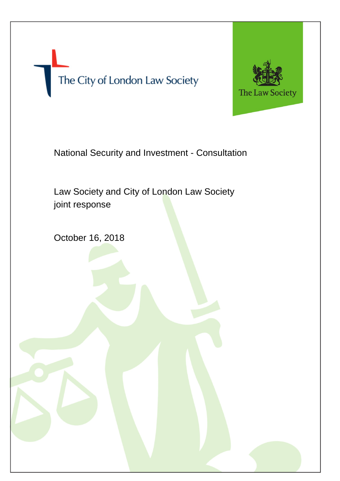The City of London Law Society



National Security and Investment - Consultation

- 2 -

Law Society and City of London Law Society joint response

October 16, 2018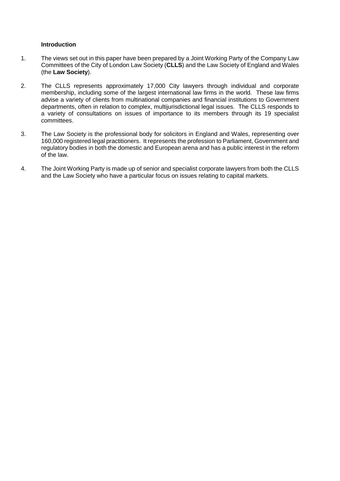#### **Introduction**

- 1. The views set out in this paper have been prepared by a Joint Working Party of the Company Law Committees of the City of London Law Society (**CLLS**) and the Law Society of England and Wales (the **Law Society**).
- 2. The CLLS represents approximately 17,000 City lawyers through individual and corporate membership, including some of the largest international law firms in the world. These law firms advise a variety of clients from multinational companies and financial institutions to Government departments, often in relation to complex, multijurisdictional legal issues. The CLLS responds to a variety of consultations on issues of importance to its members through its 19 specialist committees.
- 3. The Law Society is the professional body for solicitors in England and Wales, representing over 160,000 registered legal practitioners. It represents the profession to Parliament, Government and regulatory bodies in both the domestic and European arena and has a public interest in the reform of the law.
- 4. The Joint Working Party is made up of senior and specialist corporate lawyers from both the CLLS and the Law Society who have a particular focus on issues relating to capital markets.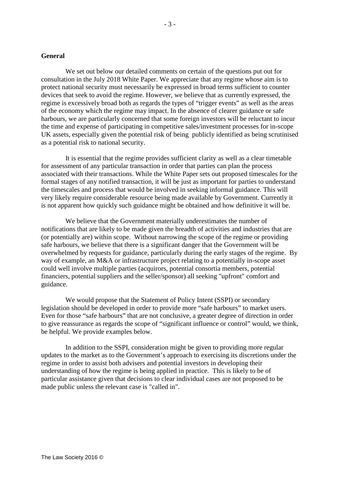#### **General**

We set out below our detailed comments on certain of the questions put out for consultation in the July 2018 White Paper. We appreciate that any regime whose aim is to protect national security must necessarily be expressed in broad terms sufficient to counter devices that seek to avoid the regime. However, we believe that as currently expressed, the regime is excessively broad both as regards the types of "trigger events" as well as the areas of the economy which the regime may impact. In the absence of clearer guidance or safe harbours, we are particularly concerned that some foreign investors will be reluctant to incur the time and expense of participating in competitive sales/investment processes for in-scope UK assets, especially given the potential risk of being publicly identified as being scrutinised as a potential risk to national security.

It is essential that the regime provides sufficient clarity as well as a clear timetable for assessment of any particular transaction in order that parties can plan the process associated with their transactions. While the White Paper sets out proposed timescales for the formal stages of any notified transaction, it will be just as important for parties to understand the timescales and process that would be involved in seeking informal guidance. This will very likely require considerable resource being made available by Government. Currently it is not apparent how quickly such guidance might be obtained and how definitive it will be.

We believe that the Government materially underestimates the number of notifications that are likely to be made given the breadth of activities and industries that are (or potentially are) within scope. Without narrowing the scope of the regime or providing safe harbours, we believe that there is a significant danger that the Government will be overwhelmed by requests for guidance, particularly during the early stages of the regime. By way of example, an M&A or infrastructure project relating to a potentially in-scope asset could well involve multiple parties (acquirors, potential consortia members, potential financiers, potential suppliers and the seller/sponsor) all seeking "upfront" comfort and guidance.

We would propose that the Statement of Policy Intent (SSPI) or secondary legislation should be developed in order to provide more "safe harbours" to market users. Even for those "safe harbours" that are not conclusive, a greater degree of direction in order to give reassurance as regards the scope of "significant influence or control" would, we think, be helpful. We provide examples below.

In addition to the SSPI, consideration might be given to providing more regular updates to the market as to the Government's approach to exercising its discretions under the regime in order to assist both advisers and potential investors in developing their understanding of how the regime is being applied in practice. This is likely to be of particular assistance given that decisions to clear individual cases are not proposed to be made public unless the relevant case is "called in".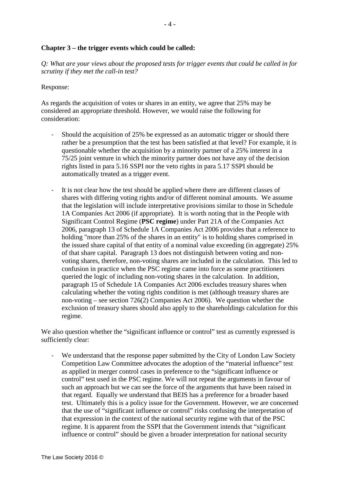### **Chapter 3 – the trigger events which could be called:**

*Q: What are your views about the proposed tests for trigger events that could be called in for scrutiny if they met the call-in test?*

#### Response:

As regards the acquisition of votes or shares in an entity, we agree that 25% may be considered an appropriate threshold. However, we would raise the following for consideration:

- Should the acquisition of 25% be expressed as an automatic trigger or should there rather be a presumption that the test has been satisfied at that level? For example, it is questionable whether the acquisition by a minority partner of a 25% interest in a 75/25 joint venture in which the minority partner does not have any of the decision rights listed in para 5.16 SSPI nor the veto rights in para 5.17 SSPI should be automatically treated as a trigger event.
- It is not clear how the test should be applied where there are different classes of shares with differing voting rights and/or of different nominal amounts. We assume that the legislation will include interpretative provisions similar to those in Schedule 1A Companies Act 2006 (if appropriate). It is worth noting that in the People with Significant Control Regime (**PSC regime**) under Part 21A of the Companies Act 2006, paragraph 13 of Schedule 1A Companies Act 2006 provides that a reference to holding "more than 25% of the shares in an entity" is to holding shares comprised in the issued share capital of that entity of a nominal value exceeding (in aggregate) 25% of that share capital. Paragraph 13 does not distinguish between voting and nonvoting shares, therefore, non-voting shares are included in the calculation. This led to confusion in practice when the PSC regime came into force as some practitioners queried the logic of including non-voting shares in the calculation. In addition, paragraph 15 of Schedule 1A Companies Act 2006 excludes treasury shares when calculating whether the voting rights condition is met (although treasury shares are non-voting – see section 726(2) Companies Act 2006). We question whether the exclusion of treasury shares should also apply to the shareholdings calculation for this regime.

We also question whether the "significant influence or control" test as currently expressed is sufficiently clear:

- We understand that the response paper submitted by the City of London Law Society Competition Law Committee advocates the adoption of the "material influence" test as applied in merger control cases in preference to the "significant influence or control" test used in the PSC regime. We will not repeat the arguments in favour of such an approach but we can see the force of the arguments that have been raised in that regard. Equally we understand that BEIS has a preference for a broader based test. Ultimately this is a policy issue for the Government. However, we are concerned that the use of "significant influence or control" risks confusing the interpretation of that expression in the context of the national security regime with that of the PSC regime. It is apparent from the SSPI that the Government intends that "significant influence or control" should be given a broader interpretation for national security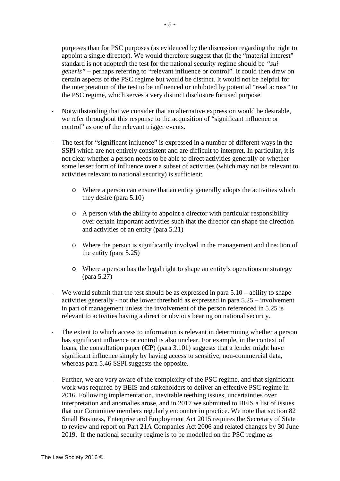purposes than for PSC purposes (as evidenced by the discussion regarding the right to appoint a single director). We would therefore suggest that (if the "material interest" standard is not adopted) the test for the national security regime should be *"sui generis"* – perhaps referring to "relevant influence or control". It could then draw on certain aspects of the PSC regime but would be distinct. It would not be helpful for the interpretation of the test to be influenced or inhibited by potential "read across*"* to the PSC regime, which serves a very distinct disclosure focused purpose.

- Notwithstanding that we consider that an alternative expression would be desirable, we refer throughout this response to the acquisition of "significant influence or control" as one of the relevant trigger events.
- The test for "significant influence" is expressed in a number of different ways in the SSPI which are not entirely consistent and are difficult to interpret. In particular, it is not clear whether a person needs to be able to direct activities generally or whether some lesser form of influence over a subset of activities (which may not be relevant to activities relevant to national security) is sufficient:
	- o Where a person can ensure that an entity generally adopts the activities which they desire (para 5.10)
	- o A person with the ability to appoint a director with particular responsibility over certain important activities such that the director can shape the direction and activities of an entity (para 5.21)
	- o Where the person is significantly involved in the management and direction of the entity (para 5.25)
	- o Where a person has the legal right to shape an entity's operations or strategy (para 5.27)
- We would submit that the test should be as expressed in para 5.10 ability to shape activities generally - not the lower threshold as expressed in para 5.25 – involvement in part of management unless the involvement of the person referenced in 5.25 is relevant to activities having a direct or obvious bearing on national security.
- The extent to which access to information is relevant in determining whether a person has significant influence or control is also unclear. For example, in the context of loans, the consultation paper (**CP**) (para 3.101) suggests that a lender might have significant influence simply by having access to sensitive, non-commercial data, whereas para 5.46 SSPI suggests the opposite.
- Further, we are very aware of the complexity of the PSC regime, and that significant work was required by BEIS and stakeholders to deliver an effective PSC regime in 2016. Following implementation, inevitable teething issues, uncertainties over interpretation and anomalies arose, and in 2017 we submitted to BEIS a list of issues that our Committee members regularly encounter in practice. We note that section 82 Small Business, Enterprise and Employment Act 2015 requires the Secretary of State to review and report on Part 21A Companies Act 2006 and related changes by 30 June 2019. If the national security regime is to be modelled on the PSC regime as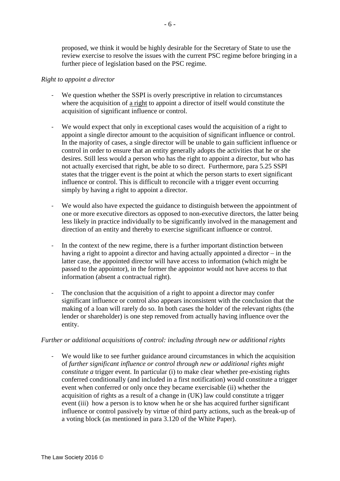proposed, we think it would be highly desirable for the Secretary of State to use the review exercise to resolve the issues with the current PSC regime before bringing in a further piece of legislation based on the PSC regime.

### *Right to appoint a director*

- We question whether the SSPI is overly prescriptive in relation to circumstances where the acquisition of a right to appoint a director of itself would constitute the acquisition of significant influence or control.
- We would expect that only in exceptional cases would the acquisition of a right to appoint a single director amount to the acquisition of significant influence or control. In the majority of cases, a single director will be unable to gain sufficient influence or control in order to ensure that an entity generally adopts the activities that he or she desires. Still less would a person who has the right to appoint a director, but who has not actually exercised that right, be able to so direct. Furthermore, para 5.25 SSPI states that the trigger event is the point at which the person starts to exert significant influence or control. This is difficult to reconcile with a trigger event occurring simply by having a right to appoint a director.
- We would also have expected the guidance to distinguish between the appointment of one or more executive directors as opposed to non-executive directors, the latter being less likely in practice individually to be significantly involved in the management and direction of an entity and thereby to exercise significant influence or control.
- In the context of the new regime, there is a further important distinction between having a right to appoint a director and having actually appointed a director – in the latter case, the appointed director will have access to information (which might be passed to the appointor), in the former the appointor would not have access to that information (absent a contractual right).
- The conclusion that the acquisition of a right to appoint a director may confer significant influence or control also appears inconsistent with the conclusion that the making of a loan will rarely do so. In both cases the holder of the relevant rights (the lender or shareholder) is one step removed from actually having influence over the entity.

### *Further or additional acquisitions of control: including through new or additional rights*

We would like to see further guidance around circumstances in which the acquisition of *further significant influence or control through new or additional rights might constitute a* trigger event. In particular (i) to make clear whether pre-existing rights conferred conditionally (and included in a first notification) would constitute a trigger event when conferred or only once they became exercisable (ii) whether the acquisition of rights as a result of a change in (UK) law could constitute a trigger event (iii) how a person is to know when he or she has acquired further significant influence or control passively by virtue of third party actions, such as the break-up of a voting block (as mentioned in para 3.120 of the White Paper).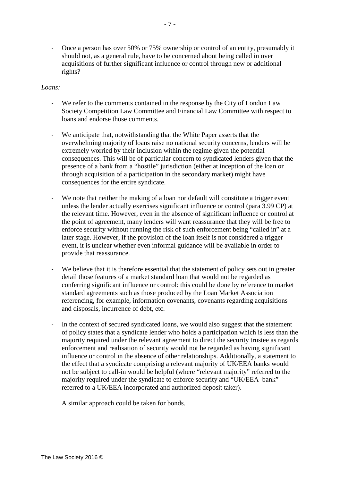- Once a person has over 50% or 75% ownership or control of an entity, presumably it should not, as a general rule, have to be concerned about being called in over acquisitions of further significant influence or control through new or additional rights?

### *Loans:*

- We refer to the comments contained in the response by the City of London Law Society Competition Law Committee and Financial Law Committee with respect to loans and endorse those comments.
- We anticipate that, notwithstanding that the White Paper asserts that the overwhelming majority of loans raise no national security concerns, lenders will be extremely worried by their inclusion within the regime given the potential consequences. This will be of particular concern to syndicated lenders given that the presence of a bank from a "hostile" jurisdiction (either at inception of the loan or through acquisition of a participation in the secondary market) might have consequences for the entire syndicate.
- We note that neither the making of a loan nor default will constitute a trigger event unless the lender actually exercises significant influence or control (para 3.99 CP) at the relevant time. However, even in the absence of significant influence or control at the point of agreement, many lenders will want reassurance that they will be free to enforce security without running the risk of such enforcement being "called in" at a later stage. However, if the provision of the loan itself is not considered a trigger event, it is unclear whether even informal guidance will be available in order to provide that reassurance.
- We believe that it is therefore essential that the statement of policy sets out in greater detail those features of a market standard loan that would not be regarded as conferring significant influence or control: this could be done by reference to market standard agreements such as those produced by the Loan Market Association referencing, for example, information covenants, covenants regarding acquisitions and disposals, incurrence of debt, etc.
- In the context of secured syndicated loans, we would also suggest that the statement of policy states that a syndicate lender who holds a participation which is less than the majority required under the relevant agreement to direct the security trustee as regards enforcement and realisation of security would not be regarded as having significant influence or control in the absence of other relationships. Additionally, a statement to the effect that a syndicate comprising a relevant majority of UK/EEA banks would not be subject to call-in would be helpful (where "relevant majority" referred to the majority required under the syndicate to enforce security and "UK/EEA bank" referred to a UK/EEA incorporated and authorized deposit taker).

A similar approach could be taken for bonds.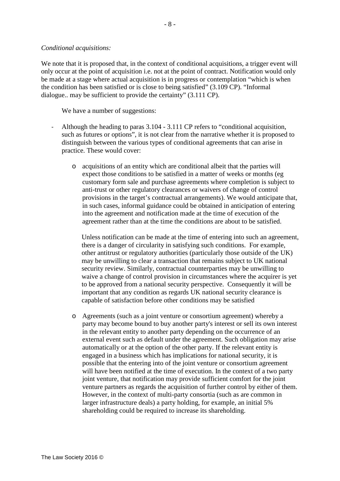#### *Conditional acquisitions:*

We note that it is proposed that, in the context of conditional acquisitions, a trigger event will only occur at the point of acquisition i.e. not at the point of contract. Notification would only be made at a stage where actual acquisition is in progress or contemplation "which is when the condition has been satisfied or is close to being satisfied" (3.109 CP). "Informal dialogue.. may be sufficient to provide the certainty" (3.111 CP).

We have a number of suggestions:

- Although the heading to paras 3.104 3.111 CP refers to "conditional acquisition, such as futures or options", it is not clear from the narrative whether it is proposed to distinguish between the various types of conditional agreements that can arise in practice. These would cover:
	- o acquisitions of an entity which are conditional albeit that the parties will expect those conditions to be satisfied in a matter of weeks or months (eg customary form sale and purchase agreements where completion is subject to anti-trust or other regulatory clearances or waivers of change of control provisions in the target's contractual arrangements). We would anticipate that, in such cases, informal guidance could be obtained in anticipation of entering into the agreement and notification made at the time of execution of the agreement rather than at the time the conditions are about to be satisfied.

Unless notification can be made at the time of entering into such an agreement, there is a danger of circularity in satisfying such conditions. For example, other antitrust or regulatory authorities (particularly those outside of the UK) may be unwilling to clear a transaction that remains subject to UK national security review. Similarly, contractual counterparties may be unwilling to waive a change of control provision in circumstances where the acquirer is yet to be approved from a national security perspective. Consequently it will be important that any condition as regards UK national security clearance is capable of satisfaction before other conditions may be satisfied

o Agreements (such as a joint venture or consortium agreement) whereby a party may become bound to buy another party's interest or sell its own interest in the relevant entity to another party depending on the occurrence of an external event such as default under the agreement. Such obligation may arise automatically or at the option of the other party. If the relevant entity is engaged in a business which has implications for national security, it is possible that the entering into of the joint venture or consortium agreement will have been notified at the time of execution. In the context of a two party joint venture, that notification may provide sufficient comfort for the joint venture partners as regards the acquisition of further control by either of them. However, in the context of multi-party consortia (such as are common in larger infrastructure deals) a party holding, for example, an initial 5% shareholding could be required to increase its shareholding.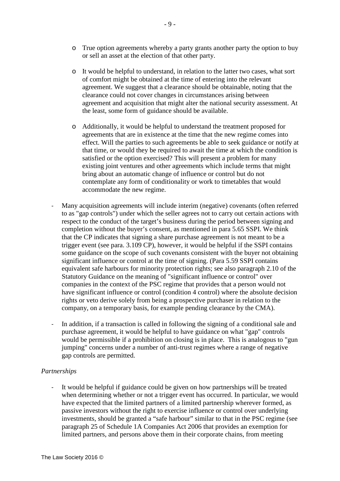- o True option agreements whereby a party grants another party the option to buy or sell an asset at the election of that other party.
- o It would be helpful to understand, in relation to the latter two cases, what sort of comfort might be obtained at the time of entering into the relevant agreement. We suggest that a clearance should be obtainable, noting that the clearance could not cover changes in circumstances arising between agreement and acquisition that might alter the national security assessment. At the least, some form of guidance should be available.
- o Additionally, it would be helpful to understand the treatment proposed for agreements that are in existence at the time that the new regime comes into effect. Will the parties to such agreements be able to seek guidance or notify at that time, or would they be required to await the time at which the condition is satisfied or the option exercised? This will present a problem for many existing joint ventures and other agreements which include terms that might bring about an automatic change of influence or control but do not contemplate any form of conditionality or work to timetables that would accommodate the new regime.
- Many acquisition agreements will include interim (negative) covenants (often referred to as "gap controls") under which the seller agrees not to carry out certain actions with respect to the conduct of the target's business during the period between signing and completion without the buyer's consent, as mentioned in para 5.65 SSPI. We think that the CP indicates that signing a share purchase agreement is not meant to be a trigger event (see para. 3.109 CP), however, it would be helpful if the SSPI contains some guidance on the scope of such covenants consistent with the buyer not obtaining significant influence or control at the time of signing. (Para 5.59 SSPI contains equivalent safe harbours for minority protection rights; see also paragraph 2.10 of the Statutory Guidance on the meaning of "significant influence or control" over companies in the context of the PSC regime that provides that a person would not have significant influence or control (condition 4 control) where the absolute decision rights or veto derive solely from being a prospective purchaser in relation to the company, on a temporary basis, for example pending clearance by the CMA).
- In addition, if a transaction is called in following the signing of a conditional sale and purchase agreement, it would be helpful to have guidance on what "gap" controls would be permissible if a prohibition on closing is in place. This is analogous to "gun jumping" concerns under a number of anti-trust regimes where a range of negative gap controls are permitted.

# *Partnerships*

- It would be helpful if guidance could be given on how partnerships will be treated when determining whether or not a trigger event has occurred. In particular, we would have expected that the limited partners of a limited partnership wherever formed, as passive investors without the right to exercise influence or control over underlying investments, should be granted a "safe harbour" similar to that in the PSC regime (see paragraph 25 of Schedule 1A Companies Act 2006 that provides an exemption for limited partners, and persons above them in their corporate chains, from meeting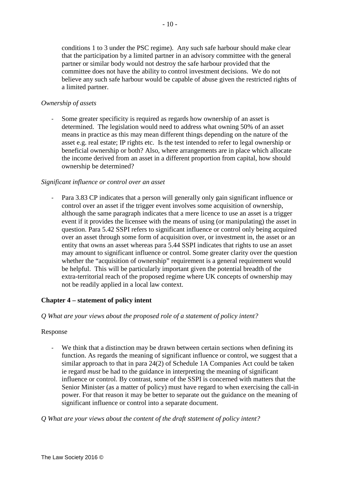conditions 1 to 3 under the PSC regime). Any such safe harbour should make clear that the participation by a limited partner in an advisory committee with the general partner or similar body would not destroy the safe harbour provided that the committee does not have the ability to control investment decisions. We do not believe any such safe harbour would be capable of abuse given the restricted rights of a limited partner.

### *Ownership of assets*

- Some greater specificity is required as regards how ownership of an asset is determined. The legislation would need to address what owning 50% of an asset means in practice as this may mean different things depending on the nature of the asset e.g. real estate; IP rights etc. Is the test intended to refer to legal ownership or beneficial ownership or both? Also, where arrangements are in place which allocate the income derived from an asset in a different proportion from capital, how should ownership be determined?

### *Significant influence or control over an asset*

Para 3.83 CP indicates that a person will generally only gain significant influence or control over an asset if the trigger event involves some acquisition of ownership, although the same paragraph indicates that a mere licence to use an asset is a trigger event if it provides the licensee with the means of using (or manipulating) the asset in question. Para 5.42 SSPI refers to significant influence or control only being acquired over an asset through some form of acquisition over, or investment in, the asset or an entity that owns an asset whereas para 5.44 SSPI indicates that rights to use an asset may amount to significant influence or control. Some greater clarity over the question whether the "acquisition of ownership" requirement is a general requirement would be helpful. This will be particularly important given the potential breadth of the extra-territorial reach of the proposed regime where UK concepts of ownership may not be readily applied in a local law context.

# **Chapter 4 – statement of policy intent**

# *Q What are your views about the proposed role of a statement of policy intent?*

### Response

- We think that a distinction may be drawn between certain sections when defining its function. As regards the meaning of significant influence or control, we suggest that a similar approach to that in para 24(2) of Schedule 1A Companies Act could be taken ie regard *must* be had to the guidance in interpreting the meaning of significant influence or control. By contrast, some of the SSPI is concerned with matters that the Senior Minister (as a matter of policy) must have regard to when exercising the call-in power. For that reason it may be better to separate out the guidance on the meaning of significant influence or control into a separate document.

*Q What are your views about the content of the draft statement of policy intent?*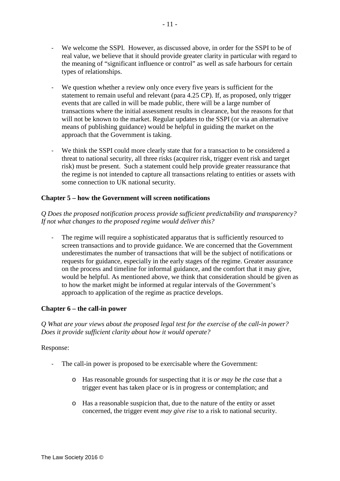- We welcome the SSPI. However, as discussed above, in order for the SSPI to be of real value, we believe that it should provide greater clarity in particular with regard to the meaning of "significant influence or control" as well as safe harbours for certain types of relationships.
- We question whether a review only once every five years is sufficient for the statement to remain useful and relevant (para 4.25 CP). If, as proposed, only trigger events that are called in will be made public, there will be a large number of transactions where the initial assessment results in clearance, but the reasons for that will not be known to the market. Regular updates to the SSPI (or via an alternative means of publishing guidance) would be helpful in guiding the market on the approach that the Government is taking.
- We think the SSPI could more clearly state that for a transaction to be considered a threat to national security, all three risks (acquirer risk, trigger event risk and target risk) must be present. Such a statement could help provide greater reassurance that the regime is not intended to capture all transactions relating to entities or assets with some connection to UK national security.

# **Chapter 5 – how the Government will screen notifications**

*Q Does the proposed notification process provide sufficient predictability and transparency? If not what changes to the proposed regime would deliver this?*

The regime will require a sophisticated apparatus that is sufficiently resourced to screen transactions and to provide guidance. We are concerned that the Government underestimates the number of transactions that will be the subject of notifications or requests for guidance, especially in the early stages of the regime. Greater assurance on the process and timeline for informal guidance, and the comfort that it may give, would be helpful. As mentioned above, we think that consideration should be given as to how the market might be informed at regular intervals of the Government's approach to application of the regime as practice develops.

# **Chapter 6 – the call-in power**

*Q What are your views about the proposed legal test for the exercise of the call-in power? Does it provide sufficient clarity about how it would operate?*

### Response:

- The call-in power is proposed to be exercisable where the Government:
	- o Has reasonable grounds for suspecting that it is *or may be the case* that a trigger event has taken place or is in progress or contemplation; and
	- o Has a reasonable suspicion that, due to the nature of the entity or asset concerned, the trigger event *may give rise* to a risk to national security.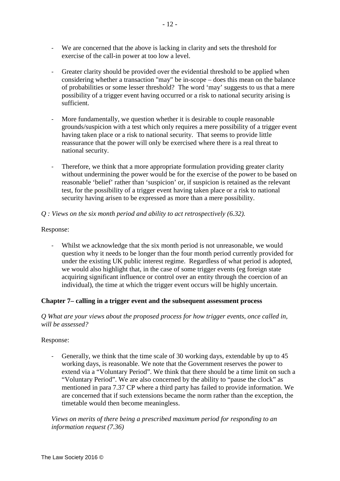- We are concerned that the above is lacking in clarity and sets the threshold for exercise of the call-in power at too low a level.
- Greater clarity should be provided over the evidential threshold to be applied when considering whether a transaction "may" be in-scope – does this mean on the balance of probabilities or some lesser threshold? The word 'may' suggests to us that a mere possibility of a trigger event having occurred or a risk to national security arising is sufficient.
- More fundamentally, we question whether it is desirable to couple reasonable grounds/suspicion with a test which only requires a mere possibility of a trigger event having taken place or a risk to national security. That seems to provide little reassurance that the power will only be exercised where there is a real threat to national security.
- Therefore, we think that a more appropriate formulation providing greater clarity without undermining the power would be for the exercise of the power to be based on reasonable 'belief' rather than 'suspicion' or, if suspicion is retained as the relevant test, for the possibility of a trigger event having taken place or a risk to national security having arisen to be expressed as more than a mere possibility.

# *Q : Views on the six month period and ability to act retrospectively (6.32).*

# Response:

- Whilst we acknowledge that the six month period is not unreasonable, we would question why it needs to be longer than the four month period currently provided for under the existing UK public interest regime. Regardless of what period is adopted, we would also highlight that, in the case of some trigger events (eg foreign state acquiring significant influence or control over an entity through the coercion of an individual), the time at which the trigger event occurs will be highly uncertain.

# **Chapter 7– calling in a trigger event and the subsequent assessment process**

### *Q What are your views about the proposed process for how trigger events, once called in, will be assessed?*

# Response:

- Generally, we think that the time scale of 30 working days, extendable by up to 45 working days, is reasonable. We note that the Government reserves the power to extend via a "Voluntary Period". We think that there should be a time limit on such a "Voluntary Period". We are also concerned by the ability to "pause the clock" as mentioned in para 7.37 CP where a third party has failed to provide information. We are concerned that if such extensions became the norm rather than the exception, the timetable would then become meaningless.

# *Views on merits of there being a prescribed maximum period for responding to an information request (7.36)*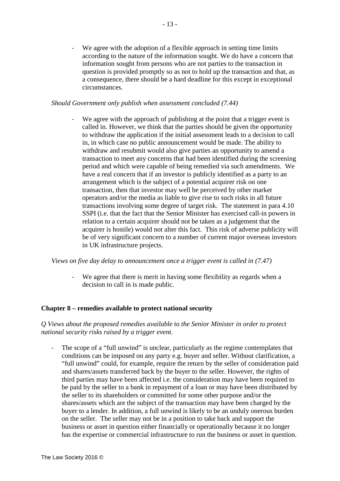We agree with the adoption of a flexible approach in setting time limits according to the nature of the information sought. We do have a concern that information sought from persons who are not parties to the transaction in question is provided promptly so as not to hold up the transaction and that, as a consequence, there should be a hard deadline for this except in exceptional circumstances.

### *Should Government only publish when assessment concluded (7.44)*

We agree with the approach of publishing at the point that a trigger event is called in. However, we think that the parties should be given the opportunity to withdraw the application if the initial assessment leads to a decision to call in, in which case no public announcement would be made. The ability to withdraw and resubmit would also give parties an opportunity to amend a transaction to meet any concerns that had been identified during the screening period and which were capable of being remedied via such amendments. We have a real concern that if an investor is publicly identified as a party to an arrangement which is the subject of a potential acquirer risk on one transaction, then that investor may well be perceived by other market operators and/or the media as liable to give rise to such risks in all future transactions involving some degree of target risk. The statement in para 4.10 SSPI (i.e. that the fact that the Senior Minister has exercised call-in powers in relation to a certain acquirer should not be taken as a judgement that the acquirer is hostile) would not alter this fact. This risk of adverse publicity will be of very significant concern to a number of current major overseas investors in UK infrastructure projects.

*Views on five day delay to announcement once a trigger event is called in (7.47)*

- We agree that there is merit in having some flexibility as regards when a decision to call in is made public.

### **Chapter 8 – remedies available to protect national security**

*Q Views about the proposed remedies available to the Senior Minister in order to protect national security risks raised by a trigger event.*

- The scope of a "full unwind" is unclear, particularly as the regime contemplates that conditions can be imposed on any party e.g. buyer and seller. Without clarification, a "full unwind" could, for example, require the return by the seller of consideration paid and shares/assets transferred back by the buyer to the seller. However, the rights of third parties may have been affected i.e. the consideration may have been required to be paid by the seller to a bank in repayment of a loan or may have been distributed by the seller to its shareholders or committed for some other purpose and/or the shares/assets which are the subject of the transaction may have been charged by the buyer to a lender. In addition, a full unwind is likely to be an unduly onerous burden on the seller. The seller may not be in a position to take back and support the business or asset in question either financially or operationally because it no longer has the expertise or commercial infrastructure to run the business or asset in question.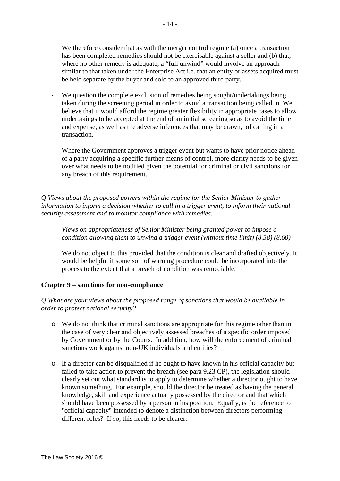We therefore consider that as with the merger control regime (a) once a transaction has been completed remedies should not be exercisable against a seller and (b) that, where no other remedy is adequate, a "full unwind" would involve an approach similar to that taken under the Enterprise Act i.e. that an entity or assets acquired must be held separate by the buyer and sold to an approved third party.

- We question the complete exclusion of remedies being sought/undertakings being taken during the screening period in order to avoid a transaction being called in. We believe that it would afford the regime greater flexibility in appropriate cases to allow undertakings to be accepted at the end of an initial screening so as to avoid the time and expense, as well as the adverse inferences that may be drawn, of calling in a transaction.
- Where the Government approves a trigger event but wants to have prior notice ahead of a party acquiring a specific further means of control, more clarity needs to be given over what needs to be notified given the potential for criminal or civil sanctions for any breach of this requirement.

*Q Views about the proposed powers within the regime for the Senior Minister to gather information to inform a decision whether to call in a trigger event, to inform their national security assessment and to monitor compliance with remedies.*

- *Views on appropriateness of Senior Minister being granted power to impose a condition allowing them to unwind a trigger event (without time limit) (8.58) (8.60)*

We do not object to this provided that the condition is clear and drafted objectively. It would be helpful if some sort of warning procedure could be incorporated into the process to the extent that a breach of condition was remediable.

### **Chapter 9 – sanctions for non-compliance**

### *Q What are your views about the proposed range of sanctions that would be available in order to protect national security?*

- o We do not think that criminal sanctions are appropriate for this regime other than in the case of very clear and objectively assessed breaches of a specific order imposed by Government or by the Courts. In addition, how will the enforcement of criminal sanctions work against non-UK individuals and entities?
- o If a director can be disqualified if he ought to have known in his official capacity but failed to take action to prevent the breach (see para 9.23 CP), the legislation should clearly set out what standard is to apply to determine whether a director ought to have known something. For example, should the director be treated as having the general knowledge, skill and experience actually possessed by the director and that which should have been possessed by a person in his position. Equally, is the reference to "official capacity" intended to denote a distinction between directors performing different roles? If so, this needs to be clearer.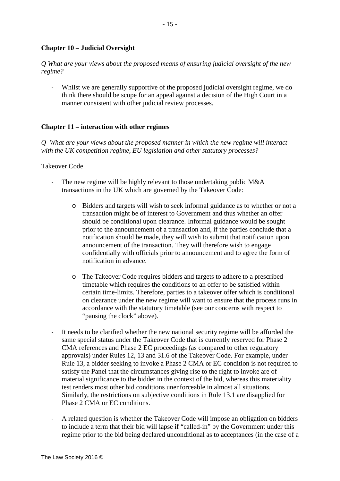### **Chapter 10 – Judicial Oversight**

*Q What are your views about the proposed means of ensuring judicial oversight of the new regime?*

- Whilst we are generally supportive of the proposed judicial oversight regime, we do think there should be scope for an appeal against a decision of the High Court in a manner consistent with other judicial review processes.

### **Chapter 11 – interaction with other regimes**

*Q What are your views about the proposed manner in which the new regime will interact with the UK competition regime, EU legislation and other statutory processes?*

#### Takeover Code

- The new regime will be highly relevant to those undertaking public M&A transactions in the UK which are governed by the Takeover Code:
	- o Bidders and targets will wish to seek informal guidance as to whether or not a transaction might be of interest to Government and thus whether an offer should be conditional upon clearance. Informal guidance would be sought prior to the announcement of a transaction and, if the parties conclude that a notification should be made, they will wish to submit that notification upon announcement of the transaction. They will therefore wish to engage confidentially with officials prior to announcement and to agree the form of notification in advance.
	- o The Takeover Code requires bidders and targets to adhere to a prescribed timetable which requires the conditions to an offer to be satisfied within certain time-limits. Therefore, parties to a takeover offer which is conditional on clearance under the new regime will want to ensure that the process runs in accordance with the statutory timetable (see our concerns with respect to "pausing the clock" above).
- It needs to be clarified whether the new national security regime will be afforded the same special status under the Takeover Code that is currently reserved for Phase 2 CMA references and Phase 2 EC proceedings (as compared to other regulatory approvals) under Rules 12, 13 and 31.6 of the Takeover Code. For example, under Rule 13, a bidder seeking to invoke a Phase 2 CMA or EC condition is not required to satisfy the Panel that the circumstances giving rise to the right to invoke are of material significance to the bidder in the context of the bid, whereas this materiality test renders most other bid conditions unenforceable in almost all situations. Similarly, the restrictions on subjective conditions in Rule 13.1 are disapplied for Phase 2 CMA or EC conditions.
- A related question is whether the Takeover Code will impose an obligation on bidders to include a term that their bid will lapse if "called-in" by the Government under this regime prior to the bid being declared unconditional as to acceptances (in the case of a